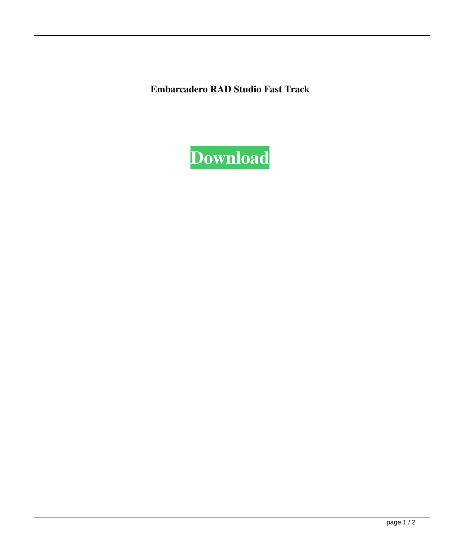**Embarcadero RAD Studio Fast Track**